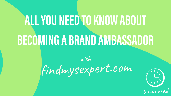findmysexpert.com





# **ALLYOU NEEDTOKNOWABOUT BECOMINGABRANDAMBASSADOR**

with

5 min read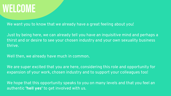#### **WELCOME**

We want you to know that we already have a great feeling about you!

Just by being here, we can already tell you have an inquisitive mind and perhaps a thirst and or desire to see your chosen industry and your own sexuality business thrive.

We are super excited that you are here, considering this role and opportunity for expansion of your work, chosen industry and to support your colleagues too!

Well then, we already have much in common.

We hope that this opportunity speaks to you on many levels and that you feel an authentic **'hell yes'** to get involved with us.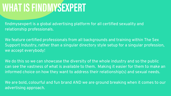#### **WHATISFINDMYSEXPERT**

findmysexpert is a global advertising platform for all certified sexuality and relationship professionals.

We feature certified professionals from all backgrounds and training within The Sex Support Industry, rather than a singular directory style setup for a singular profession, we accept everybody!

We do this so we can showcase the diversity of the whole industry and so the public can see the vastness of what is available to them. Making it easier for them to make an informed choice on how they want to address their relationship(s) and sexual needs.

We are bold, colourful and fun brand AND we are ground breaking when it comes to our advertising approach.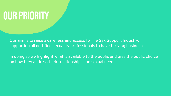### **OURPRIORITY**

Our aim is to raise awareness and access to The Sex Support Industry, supporting all certified sexuality professionals to have thriving businesses!

In doing so we highlight what is available to the public and give the public choice on how they address their relationships and sexual needs.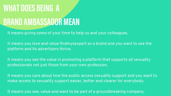### **WHATDOESBEING A BRAND AMBASSADOR MEAN**

It means giving some of your time to help us and your colleagues.

It means you love and value findmysexpert as a brand and you want to see the platform and its advertisers thrive.

It means you care about how the public access sexuality support and you want to make access to sexuality support easier, better and clearer for everybody.

It means you see the value in promoting a platform that supports all sexuality professionals not just those from your own profession.

It means you see, value and want to be part of a groundbreaking company.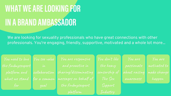## **WHATWEARELOOKINGFOR IN ABRANDAMBASSADOR**

We are looking for sexuality professionals who have great connections with other professionals. You're engaging, friendly, supportive, motivated and a whole lot more...

You need to love You see value the findmysexpert platform and what we stand for

You are motivated to make change happen

in collaboration for a common goal

You don 't like the heavy censorship of The Sex Support

Industry

You are responsive and proactive in sharing/disseminating messages on behalf of the findmysexpert platform

You are

passionate

about raising

awareness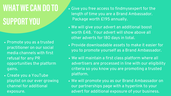## **WHATWECAN DOTO SUPPORTYOU**

We will maintain a first class platform where all advertisers are processed in line with our eligibility criteria so you know you are promoting a trusted

We will promote you as our Brand Ambassador on our partnerships page with a hyperlink to your advert for additional exposure of your business.

- Package worth £195 annually.
- other adverts for 180 days in total.
- 
- platform.
- 
- Promote you as a trusted practitioner on our social media channels with first refusal for any PR opportunities the platform gains.
- Create you a YouTube playlist on our ever growing channel for additional exposure.

Provide downloadable assets to make it easier for you to promote yourself as a Brand Ambassador.

Give you free access to findmysexpert for the length of time you are a Brand Ambassador.

We will give your advert an additional boost worth £48. Your advert will show above all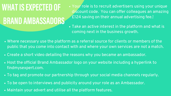WHAT IS EXPECTED OF **BRANDAMBASSADORS**

Your role is to recruit advertisers using your unique discount code. You can offer colleagues an amazing £124 saving on their annual advertising fee.!

- Where necessary use the platform as a referral source for clients or members of the public that you come into contact with and where your own services are not a match.
- Create a short video detailing the reasons why you became an ambassador.
- Host the official Brand Ambassador logo on your website including a hyperlink to findmysexpert.com.
- To tag and promote our partnership through your social media channels regularly.
- To be open to interviews and publicity around your role as an Ambassador.
- Maintain your advert and utilise all the platform features.

Take an active interest in the platform and what is

coming next in the business growth.